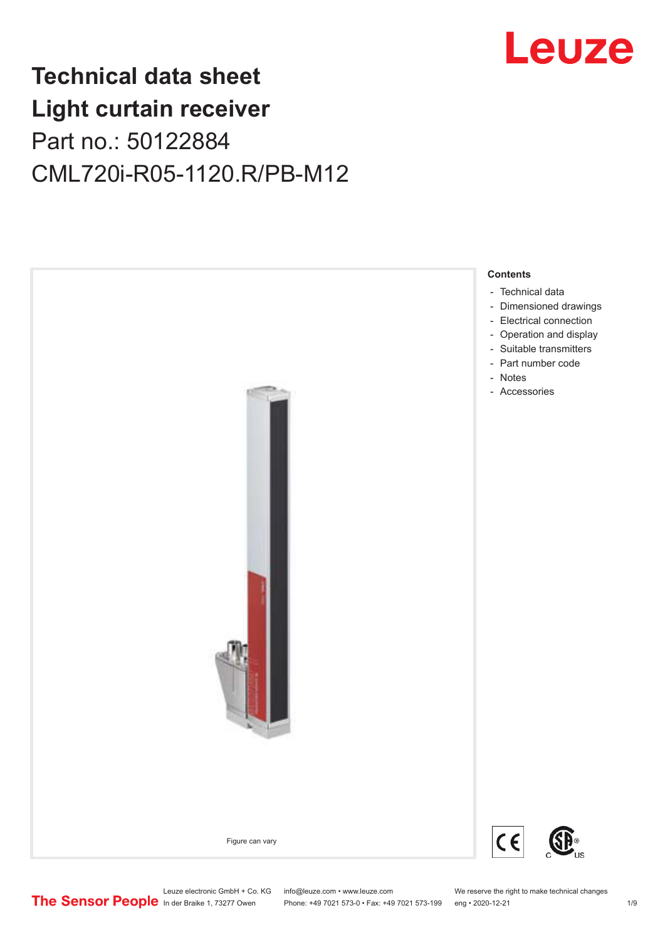

## **Technical data sheet Light curtain receiver** Part no.: 50122884 CML720i-R05-1120.R/PB-M12



Leuze electronic GmbH + Co. KG info@leuze.com • www.leuze.com We reserve the right to make technical changes<br>
The Sensor People in der Braike 1, 73277 Owen Phone: +49 7021 573-0 • Fax: +49 7021 573-199 eng • 2020-12-21

Phone: +49 7021 573-0 • Fax: +49 7021 573-199 eng • 2020-12-21 1 2020-12-21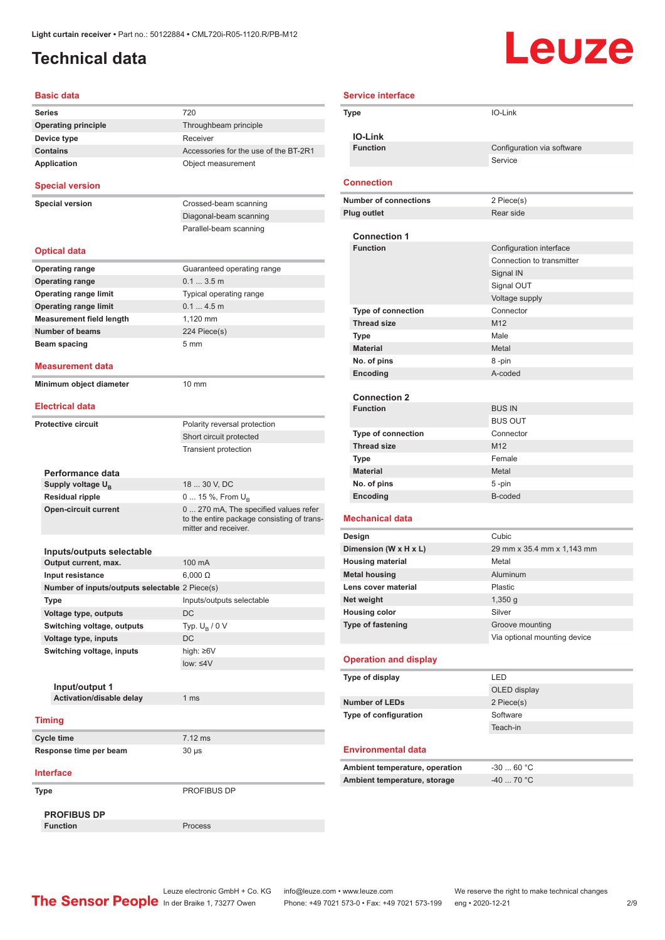## <span id="page-1-0"></span>**Technical data**

# Leuze

| <b>Basic data</b>                                  |                                                                                                             |
|----------------------------------------------------|-------------------------------------------------------------------------------------------------------------|
| <b>Series</b>                                      | 720                                                                                                         |
| <b>Operating principle</b>                         | Throughbeam principle                                                                                       |
| Device type                                        | Receiver                                                                                                    |
| <b>Contains</b>                                    | Accessories for the use of the BT-2R1                                                                       |
| Application                                        | Object measurement                                                                                          |
| <b>Special version</b>                             |                                                                                                             |
| <b>Special version</b>                             | Crossed-beam scanning                                                                                       |
|                                                    | Diagonal-beam scanning                                                                                      |
|                                                    | Parallel-beam scanning                                                                                      |
| <b>Optical data</b>                                |                                                                                                             |
| <b>Operating range</b>                             | Guaranteed operating range                                                                                  |
| <b>Operating range</b>                             | 0.13.5m                                                                                                     |
| <b>Operating range limit</b>                       | Typical operating range                                                                                     |
| <b>Operating range limit</b>                       | 0.14.5m                                                                                                     |
| <b>Measurement field length</b>                    | 1.120 mm                                                                                                    |
| <b>Number of beams</b>                             | 224 Piece(s)                                                                                                |
| Beam spacing                                       | 5 <sub>mm</sub>                                                                                             |
|                                                    |                                                                                                             |
| <b>Measurement data</b><br>Minimum object diameter | 10 mm                                                                                                       |
|                                                    |                                                                                                             |
| <b>Electrical data</b>                             |                                                                                                             |
| <b>Protective circuit</b>                          | Polarity reversal protection                                                                                |
|                                                    | Short circuit protected                                                                                     |
|                                                    | <b>Transient protection</b>                                                                                 |
| Performance data                                   |                                                                                                             |
| Supply voltage U <sub>B</sub>                      | 18  30 V, DC                                                                                                |
| <b>Residual ripple</b>                             | 0  15 %, From $U_{\rm B}$                                                                                   |
| <b>Open-circuit current</b>                        | 0  270 mA, The specified values refer<br>to the entire package consisting of trans-<br>mitter and receiver. |
|                                                    |                                                                                                             |
| Inputs/outputs selectable<br>Output current, max.  | 100 mA                                                                                                      |
| Input resistance                                   | $6.000 \Omega$                                                                                              |
| Number of inputs/outputs selectable 2 Piece(s)     |                                                                                                             |
|                                                    |                                                                                                             |
| Type                                               | Inputs/outputs selectable<br><b>DC</b>                                                                      |
| Voltage type, outputs                              |                                                                                                             |
| Switching voltage, outputs                         | Typ. $U_R / 0 V$                                                                                            |
| Voltage type, inputs                               | DC                                                                                                          |
| Switching voltage, inputs                          | high: ≥6V                                                                                                   |
|                                                    | $low: 4V$                                                                                                   |
| Input/output 1                                     |                                                                                                             |
| Activation/disable delay                           | 1 <sub>ms</sub>                                                                                             |
| <b>Timing</b>                                      |                                                                                                             |
|                                                    | $7.12$ ms                                                                                                   |
| Cycle time                                         |                                                                                                             |
| Response time per beam                             | $30 \mu s$                                                                                                  |
| <b>Interface</b>                                   |                                                                                                             |
| Type                                               | PROFIBUS DP                                                                                                 |
| <b>PROFIBUS DP</b>                                 |                                                                                                             |
| <b>Function</b>                                    | Process                                                                                                     |

| <b>Service interface</b>           |                                        |
|------------------------------------|----------------------------------------|
| Type                               | IO-Link                                |
|                                    |                                        |
| <b>IO-Link</b>                     |                                        |
| <b>Function</b>                    | Configuration via software             |
|                                    | Service                                |
| <b>Connection</b>                  |                                        |
| <b>Number of connections</b>       | 2 Piece(s)                             |
| <b>Plug outlet</b>                 | Rear side                              |
|                                    |                                        |
| <b>Connection 1</b>                |                                        |
| <b>Function</b>                    | Configuration interface                |
|                                    | Connection to transmitter<br>Signal IN |
|                                    | Signal OUT                             |
|                                    | Voltage supply                         |
| <b>Type of connection</b>          | Connector                              |
| <b>Thread size</b>                 | M12                                    |
| Type                               | Male                                   |
| <b>Material</b>                    | Metal                                  |
| No. of pins                        | 8-pin                                  |
| Encoding                           | A-coded                                |
|                                    |                                        |
| <b>Connection 2</b>                |                                        |
| <b>Function</b>                    | <b>BUS IN</b>                          |
|                                    | <b>BUS OUT</b>                         |
| <b>Type of connection</b>          | Connector<br>M <sub>12</sub>           |
| <b>Thread size</b><br>Type         | Female                                 |
| <b>Material</b>                    | Metal                                  |
| No. of pins                        | 5-pin                                  |
| Encoding                           | B-coded                                |
|                                    |                                        |
| <b>Mechanical data</b>             |                                        |
| Design                             | Cubic                                  |
| Dimension (W x H x L)              | 29 mm x 35.4 mm x 1,143 mm             |
| <b>Housing material</b>            | Metal                                  |
| <b>Metal housing</b>               | Aluminum                               |
| Lens cover material                | Plastic                                |
| Net weight<br><b>Housing color</b> | $1,350$ g<br>Silver                    |
| <b>Type of fastening</b>           | Groove mounting                        |
|                                    | Via optional mounting device           |
|                                    |                                        |
| <b>Operation and display</b>       |                                        |
| Type of display                    | LED                                    |
|                                    | OLED display                           |
| <b>Number of LEDs</b>              | 2 Piece(s)                             |
| Type of configuration              | Software                               |
|                                    | Teach-in                               |
| <b>Environmental data</b>          |                                        |
|                                    |                                        |
| Ambient temperature, operation     | $-3060 °C$                             |
| Ambient temperature, storage       | -40  70 °C                             |

Leuze electronic GmbH + Co. KG info@leuze.com • www.leuze.com We reserve the right to make technical changes In der Braike 1, 73277 Owen Phone: +49 7021 573-0 • Fax: +49 7021 573-199 eng • 2020-12-21 299 Phone: +49 7021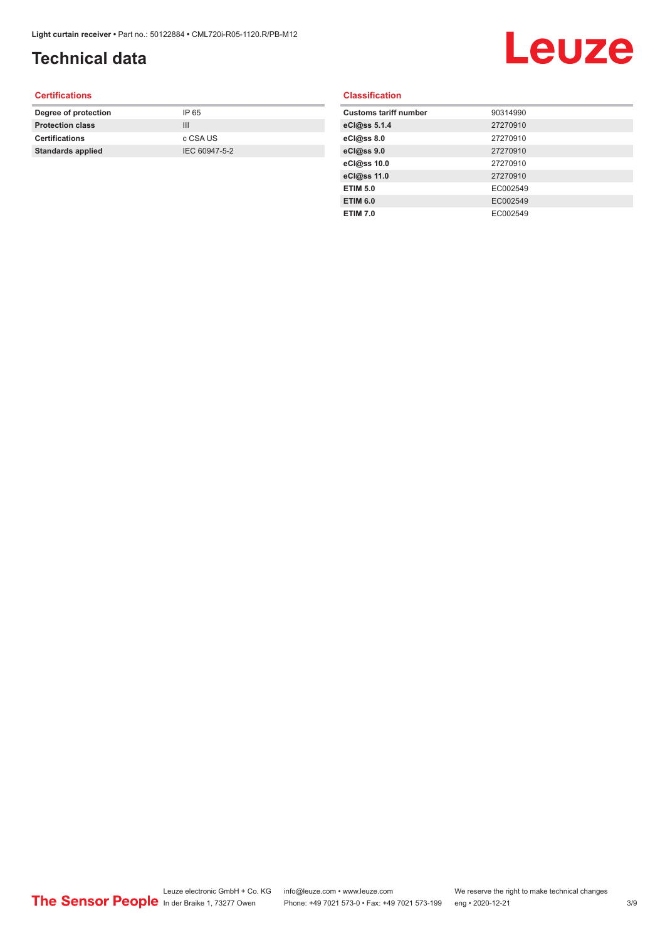## **Technical data**

# Leuze

#### **Certifications**

| Degree of protection     | IP 65         |
|--------------------------|---------------|
| <b>Protection class</b>  | Ш             |
| <b>Certifications</b>    | c CSA US      |
| <b>Standards applied</b> | IEC 60947-5-2 |
|                          |               |

#### **Classification**

| <b>Customs tariff number</b> | 90314990 |
|------------------------------|----------|
| eCl@ss 5.1.4                 | 27270910 |
| eCl@ss 8.0                   | 27270910 |
| eCl@ss 9.0                   | 27270910 |
| eCl@ss 10.0                  | 27270910 |
| eCl@ss 11.0                  | 27270910 |
| <b>ETIM 5.0</b>              | EC002549 |
| <b>ETIM 6.0</b>              | EC002549 |
| <b>ETIM 7.0</b>              | EC002549 |
|                              |          |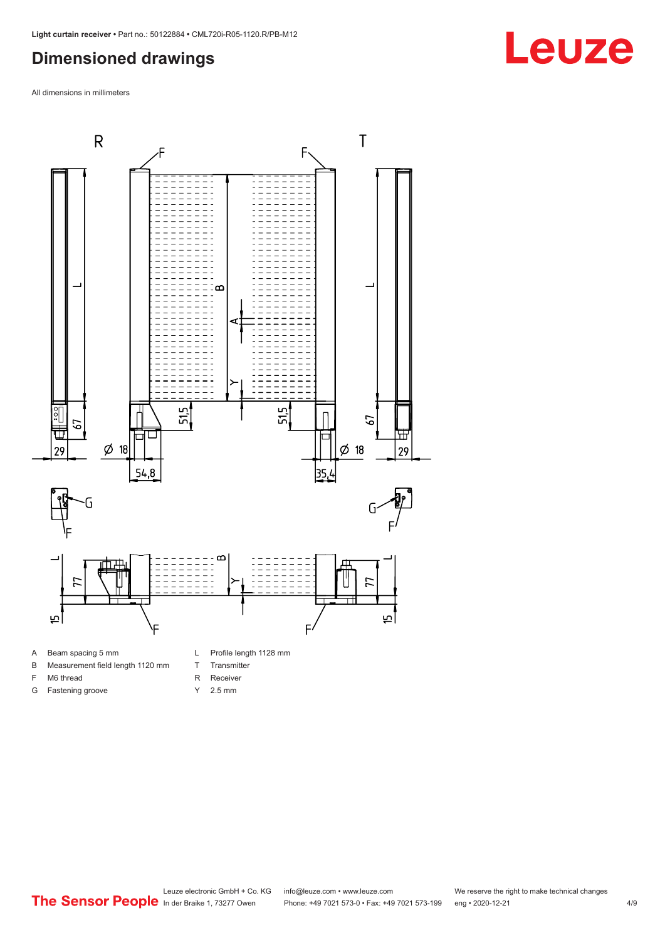#### <span id="page-3-0"></span>**Dimensioned drawings**

All dimensions in millimeters



- B Measurement field length 1120 mm
- F M6 thread
- G Fastening groove
- 
- T Transmitter
- R Receiver
- Y 2.5 mm



## **Leuze**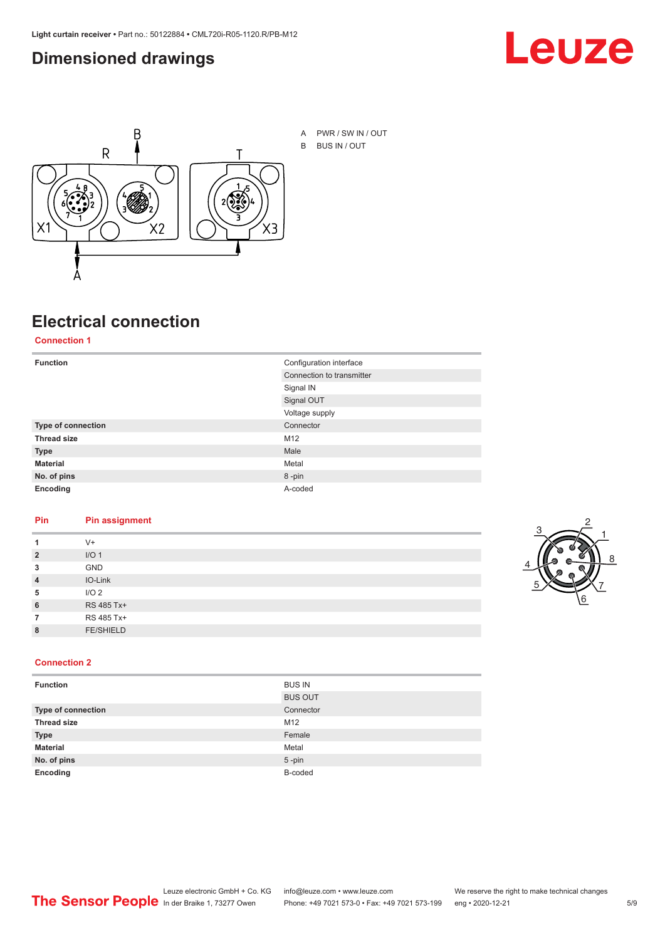#### <span id="page-4-0"></span>**Dimensioned drawings**





A PWR / SW IN / OUT B BUS IN / OUT

## **Electrical connection**

#### **Connection 1**

| <b>Function</b>    | Configuration interface   |
|--------------------|---------------------------|
|                    | Connection to transmitter |
|                    | Signal IN                 |
|                    | Signal OUT                |
|                    | Voltage supply            |
| Type of connection | Connector                 |
| <b>Thread size</b> | M12                       |
| <b>Type</b>        | Male                      |
| <b>Material</b>    | Metal                     |
| No. of pins        | 8-pin                     |
| Encoding           | A-coded                   |

#### **Pin Pin assignment**

|                | $V^+$            |  |  |
|----------------|------------------|--|--|
| $\overline{2}$ | I/O <sub>1</sub> |  |  |
| 3              | <b>GND</b>       |  |  |
| $\overline{4}$ | IO-Link          |  |  |
| 5              | I/O <sub>2</sub> |  |  |
| 6              | RS 485 Tx+       |  |  |
|                | RS 485 Tx+       |  |  |
| 8              | <b>FE/SHIELD</b> |  |  |
|                |                  |  |  |



#### **Connection 2**

| <b>Function</b>           | <b>BUS IN</b>  |
|---------------------------|----------------|
|                           | <b>BUS OUT</b> |
| <b>Type of connection</b> | Connector      |
| <b>Thread size</b>        | M12            |
| <b>Type</b>               | Female         |
| <b>Material</b>           | Metal          |
| No. of pins               | $5$ -pin       |
| Encoding                  | B-coded        |
|                           |                |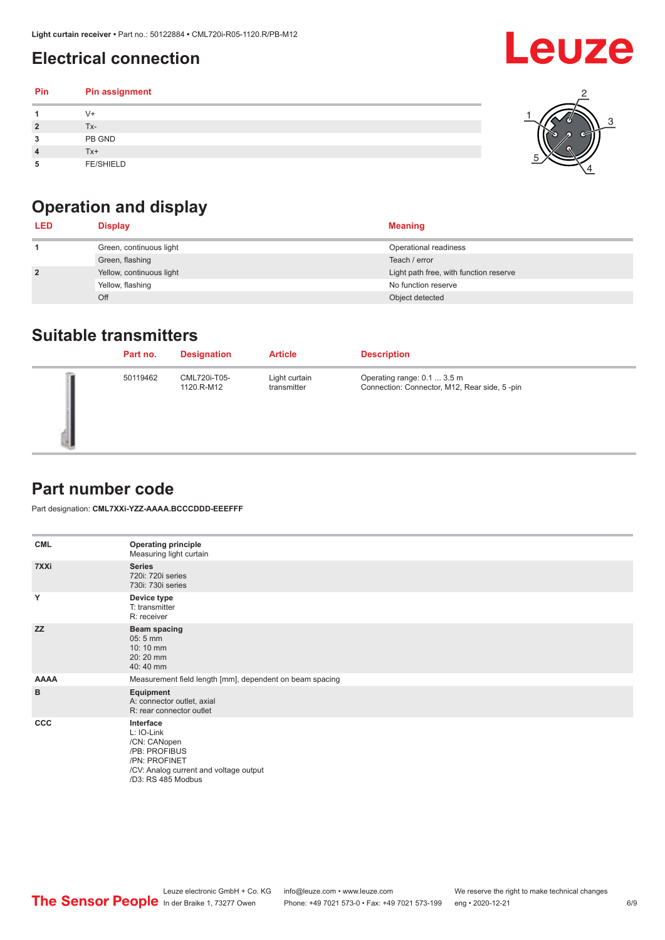## <span id="page-5-0"></span>**Electrical connection**

#### **Pin Pin assignment 1** V+ **2** Tx-**3** PB GND **4** Tx+ **5** FE/SHIELD 3 2 1 5 4

## **Operation and display**

| <b>LED</b>     | <b>Display</b>           | <b>Meaning</b>                         |
|----------------|--------------------------|----------------------------------------|
|                | Green, continuous light  | Operational readiness                  |
|                | Green, flashing          | Teach / error                          |
| $\overline{2}$ | Yellow, continuous light | Light path free, with function reserve |
|                | Yellow, flashing         | No function reserve                    |
|                | Off                      | Object detected                        |

#### **Suitable transmitters**

| Part no. | <b>Designation</b>         | <b>Article</b>               | <b>Description</b>                                                          |
|----------|----------------------------|------------------------------|-----------------------------------------------------------------------------|
| 50119462 | CML720i-T05-<br>1120.R-M12 | Light curtain<br>transmitter | Operating range: 0.1  3.5 m<br>Connection: Connector, M12, Rear side, 5-pin |

### **Part number code**

Part designation: **CML7XXi-YZZ-AAAA.BCCCDDD-EEEFFF**

| <b>CML</b>  | <b>Operating principle</b><br>Measuring light curtain                                                                                     |
|-------------|-------------------------------------------------------------------------------------------------------------------------------------------|
| 7XXi        | <b>Series</b><br>720i: 720i series<br>730i: 730i series                                                                                   |
| Y           | Device type<br>T: transmitter<br>R: receiver                                                                                              |
| <b>ZZ</b>   | <b>Beam spacing</b><br>$05:5$ mm<br>10:10 mm<br>20:20 mm<br>40:40 mm                                                                      |
| <b>AAAA</b> | Measurement field length [mm], dependent on beam spacing                                                                                  |
| B           | Equipment<br>A: connector outlet, axial<br>R: rear connector outlet                                                                       |
| <b>CCC</b>  | Interface<br>L: IO-Link<br>/CN: CANopen<br>/PB: PROFIBUS<br>/PN: PROFINET<br>/CV: Analog current and voltage output<br>/D3: RS 485 Modbus |

**Leuze**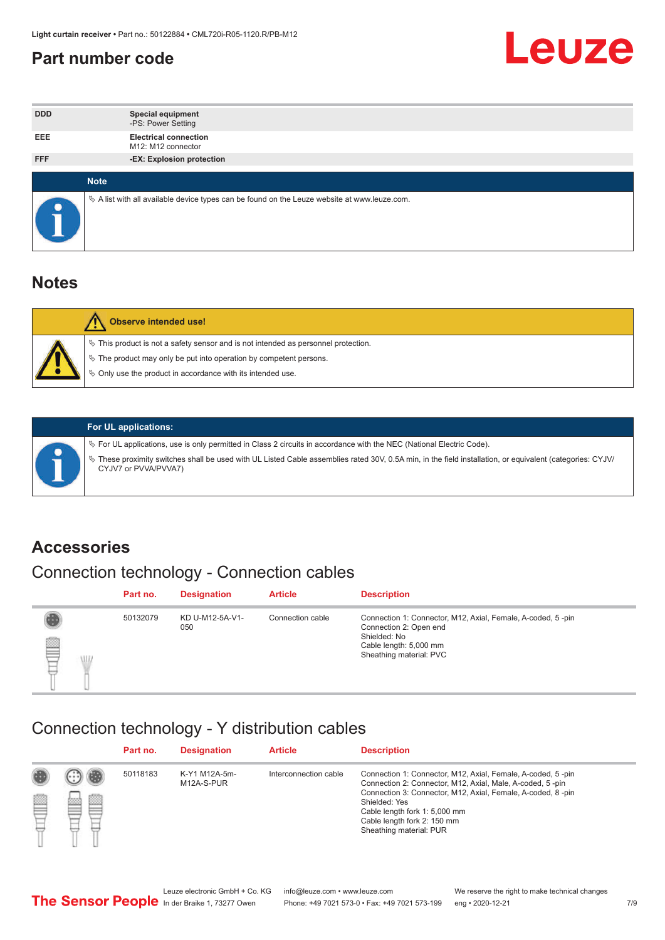#### <span id="page-6-0"></span>**Part number code**



| <b>DDD</b> | <b>Special equipment</b><br>-PS: Power Setting                                                    |
|------------|---------------------------------------------------------------------------------------------------|
| <b>EEE</b> | <b>Electrical connection</b><br>M12: M12 connector                                                |
| <b>FFF</b> | -EX: Explosion protection                                                                         |
|            | <b>Note</b>                                                                                       |
| $\bullet$  | Vector A list with all available device types can be found on the Leuze website at www.leuze.com. |

#### **Notes**

| Observe intended use!                                                                                                                                                                                                      |
|----------------------------------------------------------------------------------------------------------------------------------------------------------------------------------------------------------------------------|
| $\%$ This product is not a safety sensor and is not intended as personnel protection.<br>₹ The product may only be put into operation by competent persons.<br>♦ Only use the product in accordance with its intended use. |



#### **For UL applications:**

ª For UL applications, use is only permitted in Class 2 circuits in accordance with the NEC (National Electric Code). ª These proximity switches shall be used with UL Listed Cable assemblies rated 30V, 0.5A min, in the field installation, or equivalent (categories: CYJV/ CYJV7 or PVVA/PVVA7)

#### **Accessories**

## Connection technology - Connection cables

|        | Part no. | <b>Designation</b>     | <b>Article</b>   | <b>Description</b>                                                                                                                                         |
|--------|----------|------------------------|------------------|------------------------------------------------------------------------------------------------------------------------------------------------------------|
| 2<br>W | 50132079 | KD U-M12-5A-V1-<br>050 | Connection cable | Connection 1: Connector, M12, Axial, Female, A-coded, 5-pin<br>Connection 2: Open end<br>Shielded: No<br>Cable length: 5,000 mm<br>Sheathing material: PVC |

#### Connection technology - Y distribution cables

|   |   | Part no. | <b>Designation</b>          | <b>Article</b>        | <b>Description</b>                                                                                                                                                                                                                                                                                  |
|---|---|----------|-----------------------------|-----------------------|-----------------------------------------------------------------------------------------------------------------------------------------------------------------------------------------------------------------------------------------------------------------------------------------------------|
| Ø | ø | 50118183 | K-Y1 M12A-5m-<br>M12A-S-PUR | Interconnection cable | Connection 1: Connector, M12, Axial, Female, A-coded, 5-pin<br>Connection 2: Connector, M12, Axial, Male, A-coded, 5-pin<br>Connection 3: Connector, M12, Axial, Female, A-coded, 8-pin<br>Shielded: Yes<br>Cable length fork 1: 5,000 mm<br>Cable length fork 2: 150 mm<br>Sheathing material: PUR |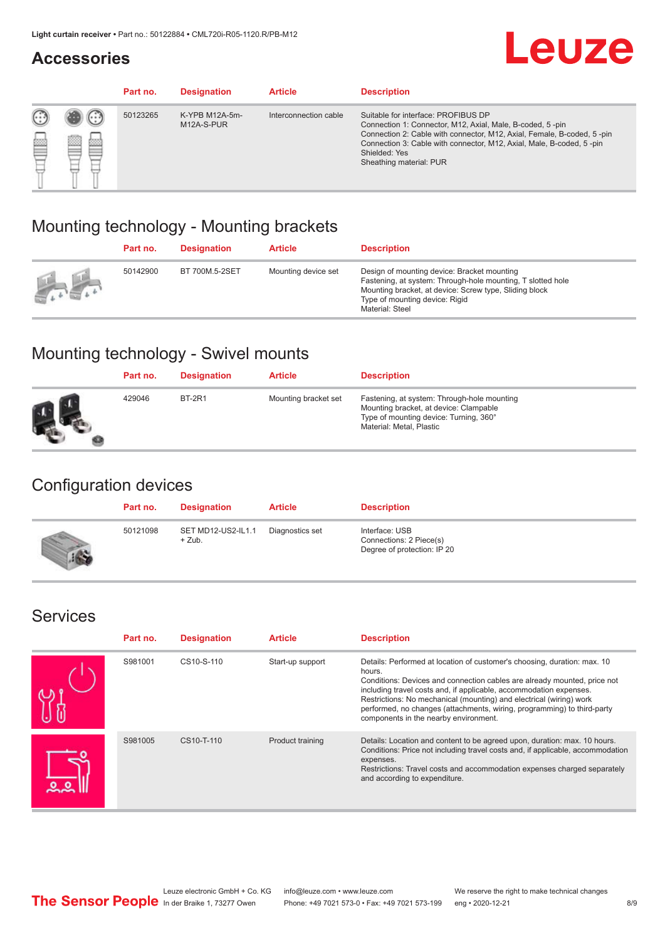#### **Accessories**

# **Leuze**

|   |            | Part no. | <b>Designation</b>           | <b>Article</b>        | <b>Description</b>                                                                                                                                                                                                                                                                             |
|---|------------|----------|------------------------------|-----------------------|------------------------------------------------------------------------------------------------------------------------------------------------------------------------------------------------------------------------------------------------------------------------------------------------|
| œ | 83<br>toni | 50123265 | K-YPB M12A-5m-<br>M12A-S-PUR | Interconnection cable | Suitable for interface: PROFIBUS DP<br>Connection 1: Connector, M12, Axial, Male, B-coded, 5-pin<br>Connection 2: Cable with connector, M12, Axial, Female, B-coded, 5-pin<br>Connection 3: Cable with connector, M12, Axial, Male, B-coded, 5-pin<br>Shielded: Yes<br>Sheathing material: PUR |

### Mounting technology - Mounting brackets

|               | Part no. | <b>Designation</b> | <b>Article</b>      | <b>Description</b>                                                                                                                                                                                                        |
|---------------|----------|--------------------|---------------------|---------------------------------------------------------------------------------------------------------------------------------------------------------------------------------------------------------------------------|
| $\frac{1}{2}$ | 50142900 | BT 700M.5-2SET     | Mounting device set | Design of mounting device: Bracket mounting<br>Fastening, at system: Through-hole mounting, T slotted hole<br>Mounting bracket, at device: Screw type, Sliding block<br>Type of mounting device: Rigid<br>Material: Steel |

## Mounting technology - Swivel mounts

| Part no. | <b>Designation</b> | <b>Article</b>       | <b>Description</b>                                                                                                                                          |
|----------|--------------------|----------------------|-------------------------------------------------------------------------------------------------------------------------------------------------------------|
| 429046   | <b>BT-2R1</b>      | Mounting bracket set | Fastening, at system: Through-hole mounting<br>Mounting bracket, at device: Clampable<br>Type of mounting device: Turning, 360°<br>Material: Metal, Plastic |

### Configuration devices

| Part no. | <b>Designation</b>             | <b>Article</b>  | <b>Description</b>                                                       |
|----------|--------------------------------|-----------------|--------------------------------------------------------------------------|
| 50121098 | SET MD12-US2-IL1.1<br>$+$ Zub. | Diagnostics set | Interface: USB<br>Connections: 2 Piece(s)<br>Degree of protection: IP 20 |

#### Services

| Part no. | <b>Designation</b> | <b>Article</b>   | <b>Description</b>                                                                                                                                                                                                                                                                                                                                                                                                              |
|----------|--------------------|------------------|---------------------------------------------------------------------------------------------------------------------------------------------------------------------------------------------------------------------------------------------------------------------------------------------------------------------------------------------------------------------------------------------------------------------------------|
| S981001  | CS10-S-110         | Start-up support | Details: Performed at location of customer's choosing, duration: max. 10<br>hours.<br>Conditions: Devices and connection cables are already mounted, price not<br>including travel costs and, if applicable, accommodation expenses.<br>Restrictions: No mechanical (mounting) and electrical (wiring) work<br>performed, no changes (attachments, wiring, programming) to third-party<br>components in the nearby environment. |
| S981005  | CS10-T-110         | Product training | Details: Location and content to be agreed upon, duration: max. 10 hours.<br>Conditions: Price not including travel costs and, if applicable, accommodation<br>expenses.<br>Restrictions: Travel costs and accommodation expenses charged separately<br>and according to expenditure.                                                                                                                                           |